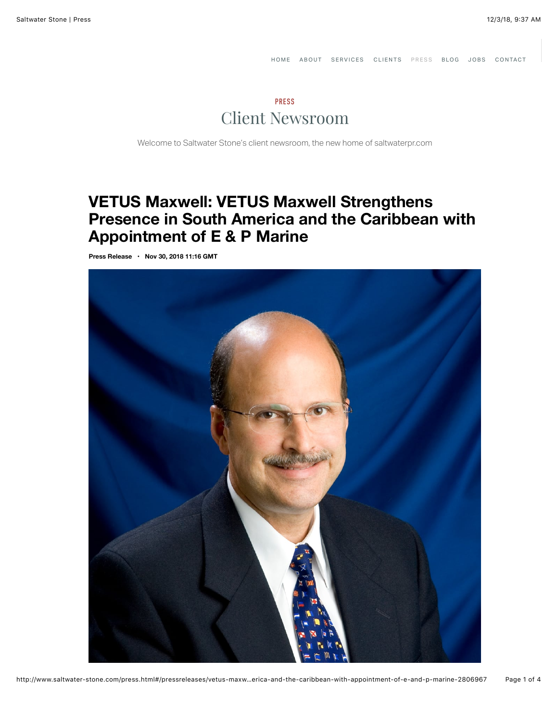## Client Newsroom PRESS

Welcome to Saltwater Stone's client newsroom, the new home of saltwaterpr.com

## **VETUS Maxwell: VETUS Maxwell Strengthens Presence in South America and the Caribbean with Appointment of E & P Marine**

**[Press Release](http://saltwater.mynewsdesk.com/pressreleases) • Nov 30, 2018 11:16 GMT**

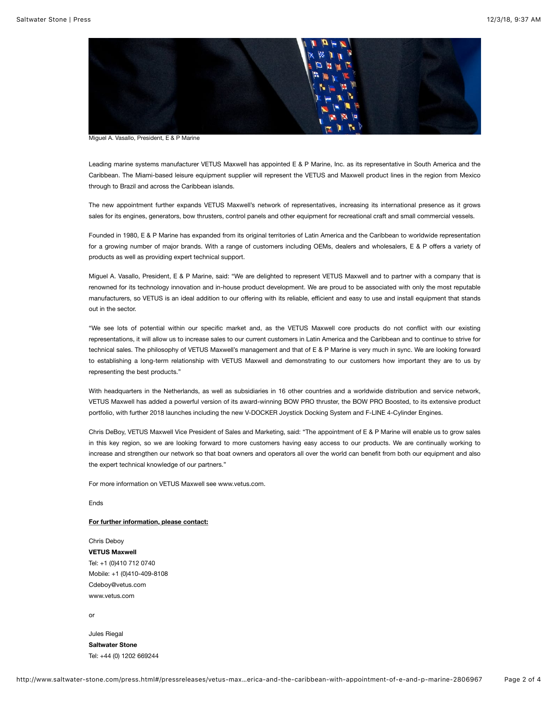

Miguel A. Vasallo, President, E & P Marine

Leading marine systems manufacturer VETUS Maxwell has appointed E & P Marine, Inc. as its representative in South America and the Caribbean. The Miami-based leisure equipment supplier will represent the VETUS and Maxwell product lines in the region from Mexico through to Brazil and across the Caribbean islands.

The new appointment further expands VETUS Maxwell's network of representatives, increasing its international presence as it grows sales for its engines, generators, bow thrusters, control panels and other equipment for recreational craft and small commercial vessels.

Founded in 1980, E & P Marine has expanded from its original territories of Latin America and the Caribbean to worldwide representation for a growing number of major brands. With a range of customers including OEMs, dealers and wholesalers, E & P offers a variety of products as well as providing expert technical support.

Miguel A. Vasallo, President, E & P Marine, said: "We are delighted to represent VETUS Maxwell and to partner with a company that is renowned for its technology innovation and in-house product development. We are proud to be associated with only the most reputable manufacturers, so VETUS is an ideal addition to our offering with its reliable, efficient and easy to use and install equipment that stands out in the sector.

"We see lots of potential within our specific market and, as the VETUS Maxwell core products do not conflict with our existing representations, it will allow us to increase sales to our current customers in Latin America and the Caribbean and to continue to strive for technical sales. The philosophy of VETUS Maxwell's management and that of E & P Marine is very much in sync. We are looking forward to establishing a long-term relationship with VETUS Maxwell and demonstrating to our customers how important they are to us by representing the best products."

With headquarters in the Netherlands, as well as subsidiaries in 16 other countries and a worldwide distribution and service network, VETUS Maxwell has added a powerful version of its award-winning BOW PRO thruster, the BOW PRO Boosted, to its extensive product portfolio, with further 2018 launches including the new V-DOCKER Joystick Docking System and F-LINE 4-Cylinder Engines.

Chris DeBoy, VETUS Maxwell Vice President of Sales and Marketing, said: "The appointment of E & P Marine will enable us to grow sales in this key region, so we are looking forward to more customers having easy access to our products. We are continually working to increase and strengthen our network so that boat owners and operators all over the world can benefit from both our equipment and also the expert technical knowledge of our partners."

For more information on VETUS Maxwell see [www.vetus.com](http://www.vetus.com/).

Ends

## **For further information, please contact:**

Chris Deboy **VETUS Maxwell** Tel: +1 (0)410 712 0740 Mobile: +1 (0)410-409-8108 Cdeboy@vetus.com [www.vetus.com](http://www.vetus.com/)

or

Jules Riegal **Saltwater Stone** Tel: +44 (0) 1202 669244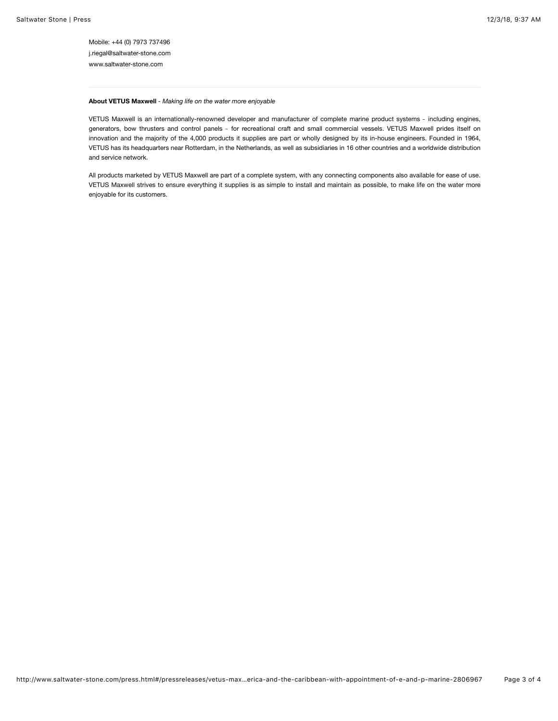Mobile: +44 (0) 7973 737496 j.riegal@saltwater-stone.com [www.saltwater-stone.com](http://www.saltwater-stone.com/)

## **About VETUS Maxwell** - *Making life on the water more enjoyable*

VETUS Maxwell is an internationally-renowned developer and manufacturer of complete marine product systems ̶including engines, generators, bow thrusters and control panels - for recreational craft and small commercial vessels. VETUS Maxwell prides itself on innovation and the majority of the 4,000 products it supplies are part or wholly designed by its in-house engineers. Founded in 1964, VETUS has its headquarters near Rotterdam, in the Netherlands, as well as subsidiaries in 16 other countries and a worldwide distribution and service network.

All products marketed by VETUS Maxwell are part of a complete system, with any connecting components also available for ease of use. VETUS Maxwell strives to ensure everything it supplies is as simple to install and maintain as possible, to make life on the water more enjoyable for its customers.